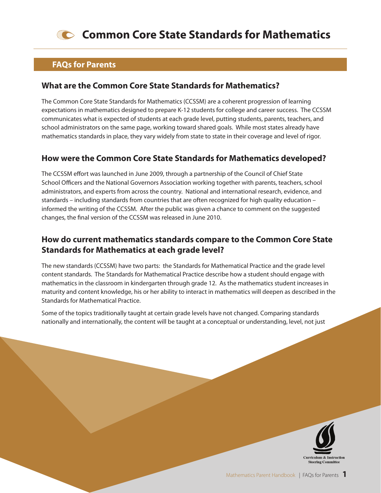

#### **FAQs for Parents**

#### **What are the Common Core State Standards for Mathematics?**

The Common Core State Standards for Mathematics (CCSSM) are a coherent progression of learning expectations in mathematics designed to prepare K-12 students for college and career success. The CCSSM communicates what is expected of students at each grade level, putting students, parents, teachers, and school administrators on the same page, working toward shared goals. While most states already have mathematics standards in place, they vary widely from state to state in their coverage and level of rigor.

## **How were the Common Core State Standards for Mathematics developed?**

The CCSSM effort was launched in June 2009, through a partnership of the Council of Chief State School Officers and the National Governors Association working together with parents, teachers, school administrators, and experts from across the country. National and international research, evidence, and standards – including standards from countries that are often recognized for high quality education – informed the writing of the CCSSM. After the public was given a chance to comment on the suggested changes, the final version of the CCSSM was released in June 2010.

# **How do current mathematics standards compare to the Common Core State Standards for Mathematics at each grade level?**

The new standards (CCSSM) have two parts: the Standards for Mathematical Practice and the grade level content standards. The Standards for Mathematical Practice describe how a student should engage with mathematics in the classroom in kindergarten through grade 12. As the mathematics student increases in maturity and content knowledge, his or her ability to interact in mathematics will deepen as described in the Standards for Mathematical Practice.

Some of the topics traditionally taught at certain grade levels have not changed. Comparing standards nationally and internationally, the content will be taught at a conceptual or understanding, level, not just

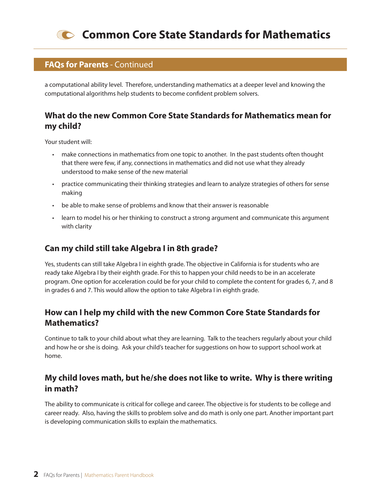

#### **FAQs for Parents** - Continued

a computational ability level. Therefore, understanding mathematics at a deeper level and knowing the computational algorithms help students to become confident problem solvers.

## **What do the new Common Core State Standards for Mathematics mean for my child?**

Your student will:

- ighther make connections in mathematics from one topic to another. In the past students often thought that there were few, if any, connections in mathematics and did not use what they already understood to make sense of the new material
- practice communicating their thinking strategies and learn to analyze strategies of others for sense making
- be able to make sense of problems and know that their answer is reasonable
- thearn to model his or her thinking to construct a strong argument and communicate this argument with clarity

# **Can my child still take Algebra I in 8th grade?**

Yes, students can still take Algebra I in eighth grade. The objective in California is for students who are ready take Algebra I by their eighth grade. For this to happen your child needs to be in an accelerate program. One option for acceleration could be for your child to complete the content for grades 6, 7, and 8 in grades 6 and 7. This would allow the option to take Algebra I in eighth grade.

# **How can I help my child with the new Common Core State Standards for Mathematics?**

Continue to talk to your child about what they are learning. Talk to the teachers regularly about your child and how he or she is doing. Ask your child's teacher for suggestions on how to support school work at home.

## **My child loves math, but he/she does not like to write. Why is there writing in math?**

The ability to communicate is critical for college and career. The objective is for students to be college and career ready. Also, having the skills to problem solve and do math is only one part. Another important part is developing communication skills to explain the mathematics.